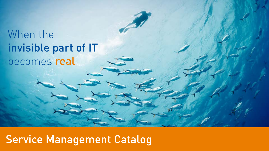# When the invisible part of IT becomes real

# Service Management Catalog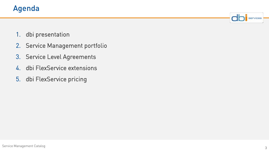

- 1. dbi presentation
- 2. Service Management portfolio
- 3. Service Level Agreements
- 4. dbi FlexService extensions
- 5. dbi FlexService pricing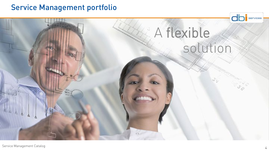# Service Management portfolio

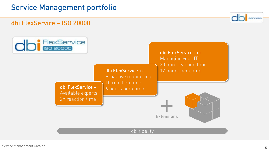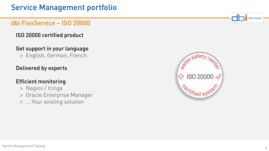# dbi FlexService – ISO 20000

ISO 20000 certified product

# Get support in your language

> English, German, French

## Delivered by experts

# Efficient monitoring

- > Nagios / Icinga
- > Oracle Enterprise Manager
- > ... Your existing solution



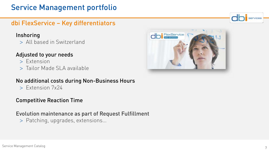# Service Management portfolio

# dbi FlexService – Key differentiators

#### Inshoring

> All based in Switzerland

### Adjusted to your needs

- > Extension
- > Tailor Made SLA available

#### No additional costs during Non-Business Hours

> Extension 7x24

#### Competitive Reaction Time

#### Evolution maintenance as part of Request Fulfillment

> Patching, upgrades, extensions…



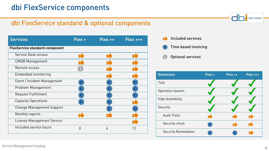# dbi FlexService standard & optional components

| <b>Services</b>                       | Flex +               | $Flex++$       | $Flex++$ |
|---------------------------------------|----------------------|----------------|----------|
| <b>FlexService standard component</b> |                      |                |          |
| Service Desk access                   |                      | n"             |          |
| <b>CMDB Management</b>                |                      | n f            |          |
| Remote access                         |                      |                |          |
| Embedded monitoring                   |                      |                |          |
| Event / Incident Management           | $\left(\zeta\right)$ |                |          |
| Problem Management                    | <b>CC</b>            |                |          |
| Request Fulfillment                   | $(\zeta)$            |                |          |
| <b>Capacity Operations</b>            |                      |                |          |
| <b>Change Management Support</b>      |                      |                |          |
| Monthly reports                       |                      |                |          |
| <b>License Management Service</b>     |                      |                |          |
| Included service hours                | $\Omega$             | $\overline{6}$ | 12       |

- ná Included services
- Time based invoicing  $\odot$
- $\int$ Optional services

| <b>Extensions</b>           | Flex + | Flex ++ | $Flex++$ |
|-----------------------------|--------|---------|----------|
| 7x24                        |        |         |          |
| <b>Operation System</b>     |        |         |          |
| <b>High Availability</b>    |        |         |          |
| Security                    |        |         |          |
| <b>Audit Trails</b>         |        | ٦é      | nt       |
| Security check              |        | n٤      | ı٤       |
| <b>Security Remediation</b> |        |         |          |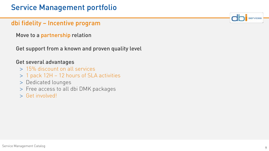## dbi fidelity – Incentive program

Move to a partnership relation

Get support from a known and proven quality level

#### Get several advantages

- > 15% discount on all services
- > 1 pack 12H 12 hours of SLA activities
- > Dedicated lounges
- > Free access to all dbi DMK packages
- > Get involved!

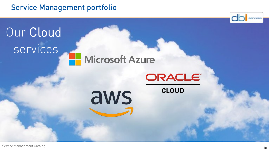# Service Management portfolio

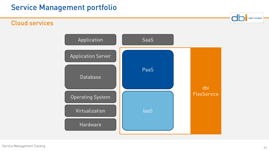# Cloud services

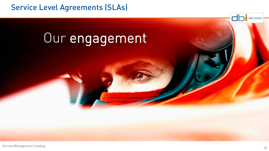# Service Level Agreements (SLAs)

# Our engagement

Service Management Catalog

dh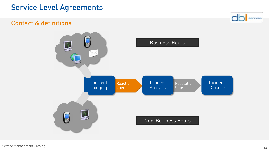# Service Level Agreements

### Contact & definitions

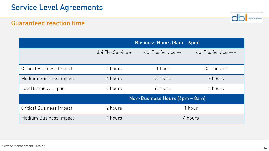

### Guaranteed reaction time

|                                 | <b>Business Hours (8am - 6pm)</b> |                    |                     |
|---------------------------------|-----------------------------------|--------------------|---------------------|
|                                 | dbi FlexService +                 | dbi FlexService ++ | dbi FlexService +++ |
| <b>Critical Business Impact</b> | 2 hours                           | 1 hour             | 30 minutes          |
| Medium Business Impact          | 4 hours                           | 3 hours            | 2 hours             |
| Low Business Impact             | 8 hours                           | 6 hours            | 4 hours             |
|                                 | Non-Business Hours (6pm - 8am)    |                    |                     |
| <b>Critical Business Impact</b> | 2 hours                           | 1 hour             |                     |
| Medium Business Impact          | 4 hours                           | 4 hours            |                     |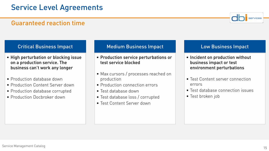### Guaranteed reaction time

#### Critical Business Impact

- High perturbation or blocking issue on a production service. The business can't work any longer
- Production database down
- Production Content Server down
- Production database corrupted
- Production Docbroker down

#### Medium Business Impact

- Production service perturbations or test service blocked
- Max cursors / processes reached on production
- Production connection errors
- Test database down
- Test database loss / corrupted
- Test Content Server down

#### Low Business Impact

- Incident on production without business impact or test environment perturbations
- Test Content server connection errors
- Test database connection issues
- Test broken job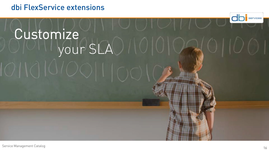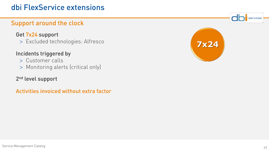# Support around the clock

#### Get 7x24 support

> Excluded technologies: Alfresco

### Incidents triggered by

- > Customer calls
- > Monitoring alerts (critical only)

### 2<sup>nd</sup> level support

Activities invoiced without extra factor

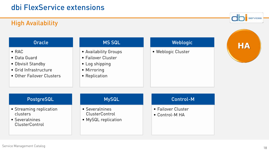# High Availability

#### **Oracle**

- RAC
- Data Guard
- Dbvisit Standby
- Grid Infrastructure
- Other Failover Clusters

#### MS SQL

- Availability Groups
- Failover Cluster
- Log shipping
- Mirroring
- Replication

#### **Weblogic**

• Weblogic Cluster



services

#### PostgreSQL

- Streaming replication clusters
- Severalnines ClusterControl

#### MySQL

- Severalnines ClusterControl
- MySQL replication

#### Control-M

- Failover Cluster
- Control-M HA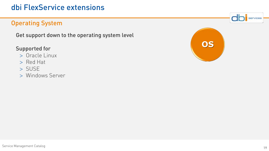## Operating System

Get support down to the operating system level

### Supported for

- > Oracle Linux
- > Red Hat
- > SUSE
- > Windows Server

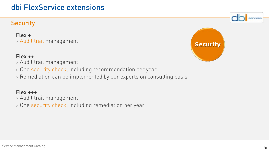# **Security**

Flex + > Audit trail management

#### Flex ++

- > Audit trail management
- > One security check, including recommendation per year
- > Remediation can be implemented by our experts on consulting basis

### Flex +++

- > Audit trail management
- > One security check, including remediation per year

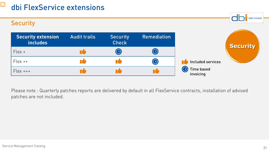### **Security**



Please note : Quarterly patches reports are delivered by default in all FlexService contracts, installation of advised patches are not included.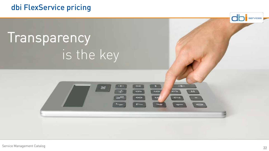# dbi FlexService pricing

# **Transparency** is the key

services

- -

 $\left| \cdot \right|$ 

 $\overline{ }$ 

 $\infty$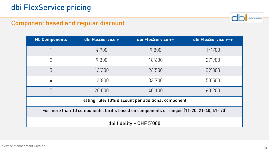

## Component based and regular discount

| <b>Nb Components</b>                                                                     | dbi FlexService + | dbi FlexService ++ | dbi FlexService +++ |  |  |
|------------------------------------------------------------------------------------------|-------------------|--------------------|---------------------|--|--|
| 1                                                                                        | 4'900             | 9'800              | 14'700              |  |  |
| 2                                                                                        | 9'300             | 18'600             | 27'900              |  |  |
| 3                                                                                        | 13'300            | 26'500             | 39'800              |  |  |
| 4                                                                                        | 16'800            | 33'700             | 50'500              |  |  |
| 5                                                                                        | 20'000            | 40'100             | 60'200              |  |  |
| Rating rule: 10% discount per additional component                                       |                   |                    |                     |  |  |
| For more than 10 components, tariffs based on components or ranges (11-20, 21-40, 41-70) |                   |                    |                     |  |  |
| dbi fidelity - CHF 5'000                                                                 |                   |                    |                     |  |  |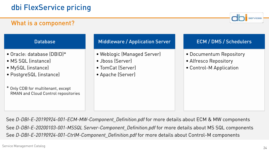# What is a component?

Database

- Oracle: database (DBID)\*
- MS SQL (instance)
- MySQL (instance)
- PostgreSQL (instance)
- \* Only CDB for multitenant, except RMAN and Cloud Control repositories

#### Middleware / Application Server

- Weblogic (Managed Server)
- Jboss (Server)
- TomCat (Server)
- Apache (Server)

#### ECM / DMS / Schedulers

- Documentum Repository
- Alfresco Repository
- Control-M Application

See *D-DBI-E-20190924-001-ECM-MW-Component\_Definition.pdf* for more details about ECM & MW components See *D-DBI-E-20200103-001-MSSQL Server-Component\_Definition.pdf* for more details about MS SQL components See *D-DBI-E-20190924-001-CtrlM-Component\_Definition.pdf* for more details about Control-M components

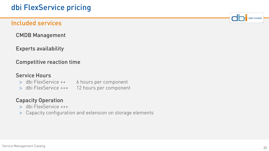### Included services

CMDB Management

Experts availability

#### Competitive reaction time

#### Service Hours

- > dbi FlexService ++ 6 hours per component
- > dbi FlexService +++ 12 hours per component

#### Capacity Operation

- > dbi FlexService +++
- > Capacity configuration and extension on storage elements

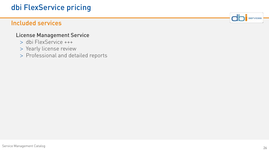# dbi FlexService pricing

## Included services

#### License Management Service

- > dbi FlexService +++
- > Yearly license review
- > Professional and detailed reports

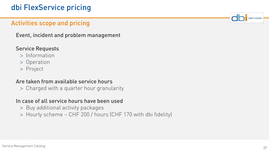# dbi FlexService pricing

# Activities scope and pricing

Event, incident and problem management

### Service Requests

- > Information
- > Operation
- > Project

#### Are taken from available service hours

> Charged with a quarter hour granularity

#### In case of all service hours have been used

- > Buy additional activity packages
- > Hourly scheme CHF 200 / hours (CHF 170 with dbi fidelity)



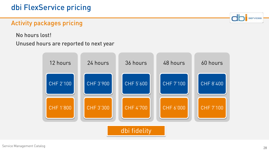# Activity packages pricing

No hours lost!

#### Unused hours are reported to next year